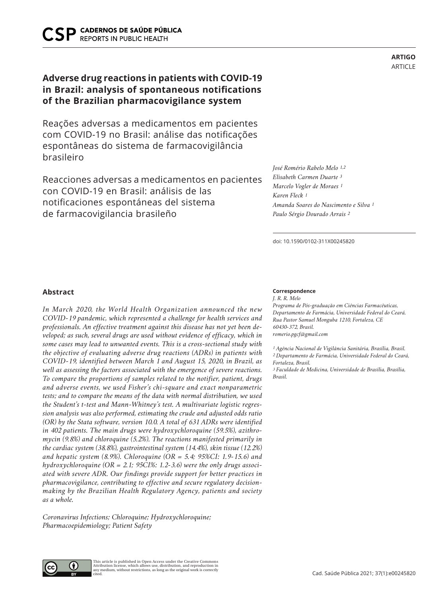# **Adverse drug reactions in patients with COVID-19 in Brazil: analysis of spontaneous notifications of the Brazilian pharmacovigilance system**

Reações adversas a medicamentos em pacientes com COVID-19 no Brasil: análise das notificações espontâneas do sistema de farmacovigilância brasileiro

Reacciones adversas a medicamentos en pacientes con COVID-19 en Brasil: análisis de las notificaciones espontáneas del sistema de farmacovigilancia brasileño

*José Romério Rabelo Melo 1,2 Elisabeth Carmen Duarte 3 Marcelo Vogler de Moraes 1 Karen Fleck 1 Amanda Soares do Nascimento e Silva 1 Paulo Sérgio Dourado Arrais 2*

doi: 10.1590/0102-311X00245820

### **Abstract**

*In March 2020, the World Health Organization announced the new COVID-19 pandemic, which represented a challenge for health services and professionals. An effective treatment against this disease has not yet been developed; as such, several drugs are used without evidence of efficacy, which in some cases may lead to unwanted events. This is a cross-sectional study with the objective of evaluating adverse drug reactions (ADRs) in patients with COVID-19, identified between March 1 and August 15, 2020, in Brazil, as well as assessing the factors associated with the emergence of severe reactions. To compare the proportions of samples related to the notifier, patient, drugs and adverse events, we used Fisher's chi-square and exact nonparametric tests; and to compare the means of the data with normal distribution, we used the Student's t-test and Mann-Whitney's test. A multivariate logistic regression analysis was also performed, estimating the crude and adjusted odds ratio (OR) by the Stata software, version 10.0. A total of 631 ADRs were identified in 402 patients. The main drugs were hydroxychloroquine (59.5%), azithromycin (9.8%) and chloroquine (5.2%). The reactions manifested primarily in the cardiac system (38.8%), gastrointestinal system (14.4%), skin tissue (12.2%) and hepatic system (8.9%). Chloroquine (OR = 5.4; 95%CI: 1.9-15.6) and hydroxychloroquine (OR = 2.1; 95CI%: 1.2-3.6) were the only drugs associated with severe ADR. Our findings provide support for better practices in pharmacovigilance, contributing to effective and secure regulatory decisionmaking by the Brazilian Health Regulatory Agency, patients and society as a whole.*

*Coronavirus Infections; Chloroquine; Hydroxychloroquine; Pharmacoepidemiology; Patient Safety*

#### **Correspondence**

*J. R. R. Melo Programa de Pós-graduação em Ciências Farmacêuticas, Departamento de Farmácia, Universidade Federal do Ceará. Rua Pastor Samuel Monguba 1210, Fortaleza, CE 60430-372, Brasil. romerio.pgcf@gmail.com*

*1 Agência Nacional de Vigilância Sanitária, Brasília, Brasil. 2 Departamento de Farmácia, Universidade Federal do Ceará, Fortaleza, Brasil. 3 Faculdade de Medicina, Universidade de Brasília, Brasília, Brasil.*



**ARTIGO** ARTICLE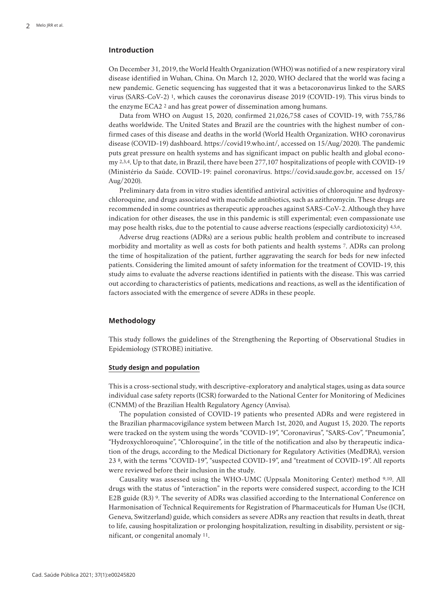# **Introduction**

On December 31, 2019, the World Health Organization (WHO) was notified of a new respiratory viral disease identified in Wuhan, China. On March 12, 2020, WHO declared that the world was facing a new pandemic. Genetic sequencing has suggested that it was a betacoronavirus linked to the SARS virus (SARS-CoV-2) 1, which causes the coronavirus disease 2019 (COVID-19). This virus binds to the enzyme ECA2 2 and has great power of dissemination among humans.

Data from WHO on August 15, 2020, confirmed 21,026,758 cases of COVID-19, with 755,786 deaths worldwide. The United States and Brazil are the countries with the highest number of confirmed cases of this disease and deaths in the world (World Health Organization. WHO coronavirus disease (COVID-19) dashboard. https://covid19.who.int/, accessed on 15/Aug/2020). The pandemic puts great pressure on health systems and has significant impact on public health and global economy 2,3,4. Up to that date, in Brazil, there have been 277,107 hospitalizations of people with COVID-19 (Ministério da Saúde. COVID-19: painel coronavírus. https://covid.saude.gov.br, accessed on 15/ Aug/2020).

Preliminary data from in vitro studies identified antiviral activities of chloroquine and hydroxychloroquine, and drugs associated with macrolide antibiotics, such as azithromycin. These drugs are recommended in some countries as therapeutic approaches against SARS-CoV-2. Although they have indication for other diseases, the use in this pandemic is still experimental; even compassionate use may pose health risks, due to the potential to cause adverse reactions (especially cardiotoxicity) 4,5,6.

Adverse drug reactions (ADRs) are a serious public health problem and contribute to increased morbidity and mortality as well as costs for both patients and health systems 7. ADRs can prolong the time of hospitalization of the patient, further aggravating the search for beds for new infected patients. Considering the limited amount of safety information for the treatment of COVID-19, this study aims to evaluate the adverse reactions identified in patients with the disease. This was carried out according to characteristics of patients, medications and reactions, as well as the identification of factors associated with the emergence of severe ADRs in these people.

# **Methodology**

This study follows the guidelines of the Strengthening the Reporting of Observational Studies in Epidemiology (STROBE) initiative.

#### **Study design and population**

This is a cross-sectional study, with descriptive-exploratory and analytical stages, using as data source individual case safety reports (ICSR) forwarded to the National Center for Monitoring of Medicines (CNMM) of the Brazilian Health Regulatory Agency (Anvisa).

The population consisted of COVID-19 patients who presented ADRs and were registered in the Brazilian pharmacovigilance system between March 1st, 2020, and August 15, 2020. The reports were tracked on the system using the words "COVID-19", "Coronavirus", "SARS-Cov", "Pneumonia", "Hydroxychloroquine", "Chloroquine", in the title of the notification and also by therapeutic indication of the drugs, according to the Medical Dictionary for Regulatory Activities (MedDRA), version 23 8, with the terms "COVID-19", "suspected COVID-19", and "treatment of COVID-19". All reports were reviewed before their inclusion in the study.

Causality was assessed using the WHO-UMC (Uppsala Monitoring Center) method 9,10. All drugs with the status of "interaction" in the reports were considered suspect, according to the ICH E2B guide (R3) 9. The severity of ADRs was classified according to the International Conference on Harmonisation of Technical Requirements for Registration of Pharmaceuticals for Human Use (ICH, Geneva, Switzerland) guide, which considers as severe ADRs any reaction that results in death, threat to life, causing hospitalization or prolonging hospitalization, resulting in disability, persistent or significant, or congenital anomaly 11.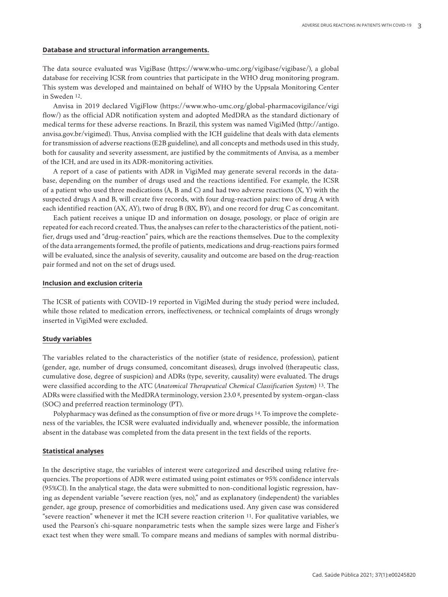#### **Database and structural information arrangements.**

The data source evaluated was VigiBase (https://www.who-umc.org/vigibase/vigibase/), a global database for receiving ICSR from countries that participate in the WHO drug monitoring program. This system was developed and maintained on behalf of WHO by the Uppsala Monitoring Center in Sweden 12.

Anvisa in 2019 declared VigiFlow (https://www.who-umc.org/global-pharmacovigilance/vigi flow/) as the official ADR notification system and adopted MedDRA as the standard dictionary of medical terms for these adverse reactions. In Brazil, this system was named VigiMed (http://antigo. anvisa.gov.br/vigimed). Thus, Anvisa complied with the ICH guideline that deals with data elements for transmission of adverse reactions (E2B guideline), and all concepts and methods used in this study, both for causality and severity assessment, are justified by the commitments of Anvisa, as a member of the ICH, and are used in its ADR-monitoring activities.

A report of a case of patients with ADR in VigiMed may generate several records in the database, depending on the number of drugs used and the reactions identified. For example, the ICSR of a patient who used three medications (A, B and C) and had two adverse reactions (X, Y) with the suspected drugs A and B, will create five records, with four drug-reaction pairs: two of drug A with each identified reaction (AX, AY), two of drug B (BX, BY), and one record for drug C as concomitant.

Each patient receives a unique ID and information on dosage, posology, or place of origin are repeated for each record created. Thus, the analyses can refer to the characteristics of the patient, notifier, drugs used and "drug-reaction" pairs, which are the reactions themselves. Due to the complexity of the data arrangements formed, the profile of patients, medications and drug-reactions pairs formed will be evaluated, since the analysis of severity, causality and outcome are based on the drug-reaction pair formed and not on the set of drugs used.

#### **Inclusion and exclusion criteria**

The ICSR of patients with COVID-19 reported in VigiMed during the study period were included, while those related to medication errors, ineffectiveness, or technical complaints of drugs wrongly inserted in VigiMed were excluded.

#### **Study variables**

The variables related to the characteristics of the notifier (state of residence, profession), patient (gender, age, number of drugs consumed, concomitant diseases), drugs involved (therapeutic class, cumulative dose, degree of suspicion) and ADRs (type, severity, causality) were evaluated. The drugs were classified according to the ATC (*Anatomical Therapeutical Chemical Classification System*) 13. The ADRs were classified with the MedDRA terminology, version 23.0 8, presented by system-organ-class (SOC) and preferred reaction terminology (PT).

Polypharmacy was defined as the consumption of five or more drugs 14. To improve the completeness of the variables, the ICSR were evaluated individually and, whenever possible, the information absent in the database was completed from the data present in the text fields of the reports.

#### **Statistical analyses**

In the descriptive stage, the variables of interest were categorized and described using relative frequencies. The proportions of ADR were estimated using point estimates or 95% confidence intervals (95%CI). In the analytical stage, the data were submitted to non-conditional logistic regression, having as dependent variable "severe reaction (yes, no)," and as explanatory (independent) the variables gender, age group, presence of comorbidities and medications used. Any given case was considered "severe reaction" whenever it met the ICH severe reaction criterion 11. For qualitative variables, we used the Pearson's chi-square nonparametric tests when the sample sizes were large and Fisher's exact test when they were small. To compare means and medians of samples with normal distribu-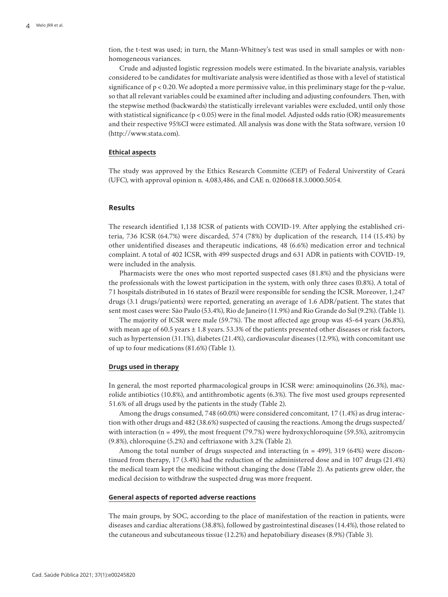tion, the t-test was used; in turn, the Mann-Whitney's test was used in small samples or with nonhomogeneous variances.

Crude and adjusted logistic regression models were estimated. In the bivariate analysis, variables considered to be candidates for multivariate analysis were identified as those with a level of statistical significance of  $p < 0.20$ . We adopted a more permissive value, in this preliminary stage for the p-value, so that all relevant variables could be examined after including and adjusting confounders. Then, with the stepwise method (backwards) the statistically irrelevant variables were excluded, until only those with statistical significance  $(p < 0.05)$  were in the final model. Adjusted odds ratio (OR) measurements and their respective 95%CI were estimated. All analysis was done with the Stata software, version 10 (http://www.stata.com).

#### **Ethical aspects**

The study was approved by the Ethics Research Committe (CEP) of Federal Universtity of Ceará (UFC), with approval opinion n. 4,083,486, and CAE n. 02066818.3.0000.5054.

## **Results**

The research identified 1,138 ICSR of patients with COVID-19. After applying the established criteria, 736 ICSR (64.7%) were discarded, 574 (78%) by duplication of the research, 114 (15.4%) by other unidentified diseases and therapeutic indications, 48 (6.6%) medication error and technical complaint. A total of 402 ICSR, with 499 suspected drugs and 631 ADR in patients with COVID-19, were included in the analysis.

Pharmacists were the ones who most reported suspected cases (81.8%) and the physicians were the professionals with the lowest participation in the system, with only three cases (0.8%). A total of 71 hospitals distributed in 16 states of Brazil were responsible for sending the ICSR. Moreover, 1,247 drugs (3.1 drugs/patients) were reported, generating an average of 1.6 ADR/patient. The states that sent most cases were: São Paulo (53.4%), Rio de Janeiro (11.9%) and Rio Grande do Sul (9.2%). (Table 1).

The majority of ICSR were male (59.7%). The most affected age group was 45-64 years (36.8%), with mean age of  $60.5$  years  $\pm 1.8$  years. 53.3% of the patients presented other diseases or risk factors, such as hypertension (31.1%), diabetes (21.4%), cardiovascular diseases (12.9%), with concomitant use of up to four medications (81.6%) (Table 1).

### **Drugs used in therapy**

In general, the most reported pharmacological groups in ICSR were: aminoquinolins (26.3%), macrolide antibiotics (10.8%), and antithrombotic agents (6.3%). The five most used groups represented 51.6% of all drugs used by the patients in the study (Table 2).

Among the drugs consumed, 748 (60.0%) were considered concomitant, 17 (1.4%) as drug interaction with other drugs and 482 (38.6%) suspected of causing the reactions. Among the drugs suspected/ with interaction ( $n = 499$ ), the most frequent (79.7%) were hydroxychloroquine (59.5%), azitromycin (9.8%), chloroquine (5.2%) and ceftriaxone with 3.2% (Table 2).

Among the total number of drugs suspected and interacting  $(n = 499)$ , 319 (64%) were discontinued from therapy, 17 (3.4%) had the reduction of the administered dose and in 107 drugs (21.4%) the medical team kept the medicine without changing the dose (Table 2). As patients grew older, the medical decision to withdraw the suspected drug was more frequent.

#### **General aspects of reported adverse reactions**

The main groups, by SOC, according to the place of manifestation of the reaction in patients, were diseases and cardiac alterations (38.8%), followed by gastrointestinal diseases (14.4%), those related to the cutaneous and subcutaneous tissue (12.2%) and hepatobiliary diseases (8.9%) (Table 3).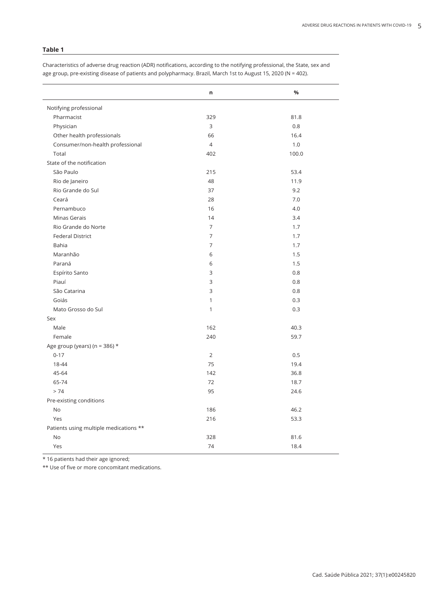**n %** Notifying professional Pharmacist 329 81.8 Physician 3 0.8 Other health professionals and the control of the control of the control of the control of the control of the control of the control of the control of the control of the control of the control of the control of the control Consumer/non-health professional 4 1.0  $\Gamma$ Total  $\Gamma$  100.0 State of the notification São Paulo 215 53.4 Rio de Janeiro 48 11.9 Rio Grande do Sul 37 9.2 Ceará 28 7.0 Pernambuco 16 4.0 Minas Gerais 2012 12:00 12:00 14 3.4 Rio Grande do Norte **7** 1.7 Federal District **7** 1.7 Bahia 7 1.7 Maranhão 6 1.5 Paraná 6 1.5 Espírito Santo 3 0.8 Piauí d'Albert († 1892)<br>2008 - Carl Stevens, politician française de la proponent de la proponent de la proponent de la proponent de<br>2018 - Carl Stevens, politician de la proponent de la proponent de la proponent de la pro São Catarina 3 0.8 Goiás 1 0.3 Mato Grosso do Sul 1 0.3 Sex Male  $162$   $40.3$ Female 240 59.7 Age group (years) (n = 386)  $*$ 0-17 0.5 18-44 75 19.4 45-64 142 36.8 65-74 18.7  $> 74$  24.6 Pre-existing conditions No  $186$  46.2  $Y$ es 216 53.3 Patients using multiple medications \*\* No  $328$  81.6  $Y$ es 18.4

Characteristics of adverse drug reaction (ADR) notifications, according to the notifying professional, the State, sex and age group, pre-existing disease of patients and polypharmacy. Brazil, March 1st to August 15, 2020 (N = 402).

\* 16 patients had their age ignored;

\*\* Use of five or more concomitant medications.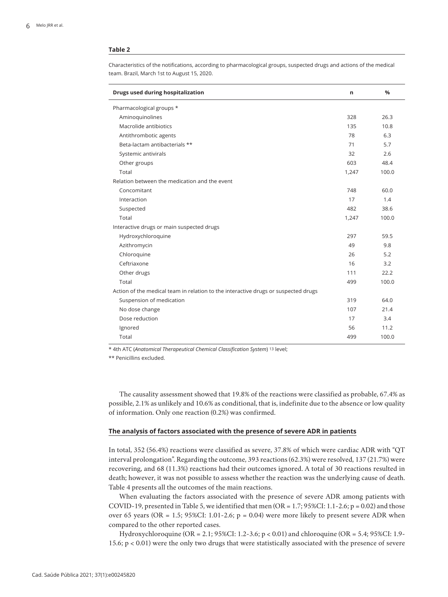Characteristics of the notifications, according to pharmacological groups, suspected drugs and actions of the medical team. Brazil, March 1st to August 15, 2020.

| Drugs used during hospitalization                                                  | n     | $\frac{0}{0}$ |
|------------------------------------------------------------------------------------|-------|---------------|
| Pharmacological groups *                                                           |       |               |
| Aminoquinolines                                                                    | 328   | 26.3          |
| Macrolide antibiotics                                                              | 135   | 10.8          |
| Antithrombotic agents                                                              | 78    | 6.3           |
| Beta-lactam antibacterials **                                                      | 71    | 5.7           |
| Systemic antivirals                                                                | 32    | 2.6           |
| Other groups                                                                       | 603   | 48.4          |
| Total                                                                              | 1,247 | 100.0         |
| Relation between the medication and the event                                      |       |               |
| Concomitant                                                                        | 748   | 60.0          |
| Interaction                                                                        | 17    | 1.4           |
| Suspected                                                                          | 482   | 38.6          |
| Total                                                                              | 1,247 | 100.0         |
| Interactive drugs or main suspected drugs                                          |       |               |
| Hydroxychloroquine                                                                 | 297   | 59.5          |
| Azithromycin                                                                       | 49    | 9.8           |
| Chloroquine                                                                        | 26    | 5.2           |
| Ceftriaxone                                                                        | 16    | 3.2           |
| Other drugs                                                                        | 111   | 22.2          |
| Total                                                                              | 499   | 100.0         |
| Action of the medical team in relation to the interactive drugs or suspected drugs |       |               |
| Suspension of medication                                                           | 319   | 64.0          |
| No dose change                                                                     | 107   | 21.4          |
| Dose reduction                                                                     | 17    | 3.4           |
| Ignored                                                                            | 56    | 11.2          |
| Total                                                                              | 499   | 100.0         |

\* 4th ATC (*Anatomical Therapeutical Chemical Classification System*) 13 level;

\*\* Penicillins excluded.

The causality assessment showed that 19.8% of the reactions were classified as probable, 67.4% as possible, 2.1% as unlikely and 10.6% as conditional, that is, indefinite due to the absence or low quality of information. Only one reaction (0.2%) was confirmed.

### **The analysis of factors associated with the presence of severe ADR in patients**

In total, 352 (56.4%) reactions were classified as severe, 37.8% of which were cardiac ADR with "QT interval prolongation". Regarding the outcome, 393 reactions (62.3%) were resolved, 137 (21.7%) were recovering, and 68 (11.3%) reactions had their outcomes ignored. A total of 30 reactions resulted in death; however, it was not possible to assess whether the reaction was the underlying cause of death. Table 4 presents all the outcomes of the main reactions.

When evaluating the factors associated with the presence of severe ADR among patients with COVID-19, presented in Table 5, we identified that men  $(OR = 1.7; 95\% CI: 1.1-2.6; p = 0.02)$  and those over 65 years (OR = 1.5; 95%CI: 1.01-2.6;  $p = 0.04$ ) were more likely to present severe ADR when compared to the other reported cases.

Hydroxychloroquine (OR = 2.1; 95%CI: 1.2-3.6; p < 0.01) and chloroquine (OR = 5.4; 95%CI: 1.9- 15.6; p < 0.01) were the only two drugs that were statistically associated with the presence of severe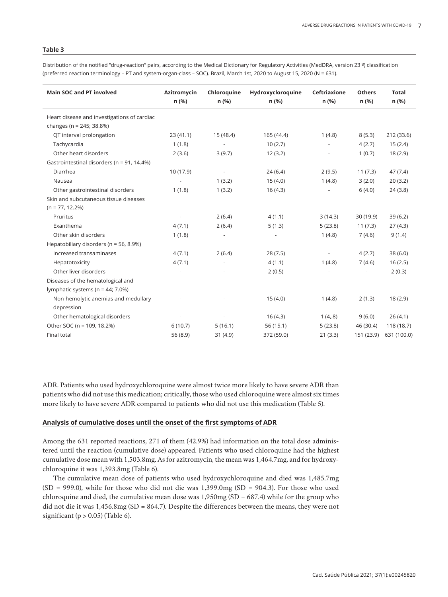**Main SOC and PT involved Azitromycin Chloroquine Hydroxycloroquine Ceftriaxione Others Total n (%) n (%) n (%) n (%) n (%) n (%)** Heart disease and investigations of cardiac changes (n = 245; 38.8%) QT interval prolongation 23 (41.1) 15 (48.4) 165 (44.4) 1 (4.8) 8 (5.3) 212 (33.6) Tachycardia 1 (1.8) - 10 (2.7) - 4 (2.7) 15 (2.4) Other heart disorders 2 (3.6) 3 (9.7) 18 (2.9) 3 (9.7) 18 (2.9) Gastrointestinal disorders (n = 91, 14.4%) Diarrhea 10 (17.9) - 24 (6.4) 2 (9.5) 11 (7.3) 47 (7.4) Nausea - 1 (3.2) 15 (4.0) 1 (4.8) 3 (2.0) 20 (3.2) Other gastrointestinal disorders 1 (1.8) 1 (3.2) 16 (4.3) 1 (4.3) 1 (4.3) 24 (3.8) Skin and subcutaneous tissue diseases  $(n = 77, 12.2%)$ Pruritus - 2 (6.4) 4 (1.1) 3 (14.3) 30 (19.9) 39 (6.2) Exanthema 4 (7.1) 2 (6.4) 5 (1.3) 5 (23.8) 11 (7.3) 27 (4.3) Other skin disorders 1 (1.8) - - 1 (1.8) - 1 (4.8) 7 (4.6) 9 (1.4) Hepatobiliary disorders (n = 56, 8.9%) Increased transaminases 4 (7.1) 2 (6.4) 28 (7.5) - 4 (2.7) 38 (6.0) Hepatotoxicity 4 (7.1) - 4 (1.1) 1 (4.8) 7 (4.6) 16 (2.5) Other liver disorders **2(0.3)** - 2(0.3) Diseases of the hematological and lymphatic systems (n = 44; 7.0%) Non-hemolytic anemias and medullary depression - 15 (4.0) 1 (4.8) 2 (1.3) 18 (2.9) Other hematological disorders - - - - - - - - - - - 16 (4.3) 1 (4,.8) 9 (6.0) 26 (4.1) Other SOC (n = 109, 18.2%) 6 (10.7) 5 (16.1) 56 (15.1) 56 (15.1) 56 (23.8) 46 (30.4) 118 (18.7) Final total 56 (8.9) 31 (4.9) 372 (59.0) 21 (3.3) 151 (23.9) 631 (100.0)

Distribution of the notified "drug-reaction" pairs, according to the Medical Dictionary for Regulatory Activities (MedDRA, version 23 8) classification (preferred reaction terminology – PT and system-organ-class – SOC). Brazil, March 1st, 2020 to August 15, 2020 (N = 631).

ADR. Patients who used hydroxychloroquine were almost twice more likely to have severe ADR than patients who did not use this medication; critically, those who used chloroquine were almost six times more likely to have severe ADR compared to patients who did not use this medication (Table 5).

#### **Analysis of cumulative doses until the onset of the first symptoms of ADR**

Among the 631 reported reactions, 271 of them (42.9%) had information on the total dose administered until the reaction (cumulative dose) appeared. Patients who used chloroquine had the highest cumulative dose mean with 1,503.8mg. As for azitromycin, the mean was 1,464.7mg, and for hydroxychloroquine it was 1,393.8mg (Table 6).

The cumulative mean dose of patients who used hydroxychloroquine and died was 1,485.7mg  $(SD = 999.0)$ , while for those who did not die was 1,399.0mg  $(SD = 904.3)$ . For those who used chloroquine and died, the cumulative mean dose was  $1,950mg(SD = 687.4)$  while for the group who did not die it was 1,456.8mg (SD = 864.7). Despite the differences between the means, they were not significant ( $p > 0.05$ ) (Table 6).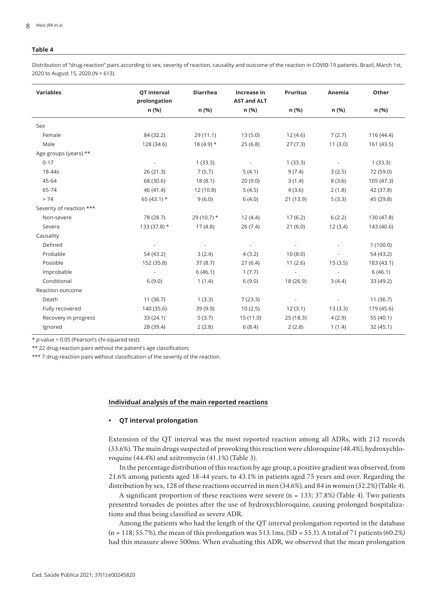Distribution of "drug-reaction" pairs according to sex, severity of reaction, causality and outcome of the reaction in COVID-19 patients. Brazil, March 1st, 2020 to August 15, 2020 (N = 613).

| <b>Variables</b>         | QT interval<br>prolongation | <b>Diarrhea</b> | Increase in<br><b>AST and ALT</b> | <b>Pruritus</b> | Anemia                   | Other      |
|--------------------------|-----------------------------|-----------------|-----------------------------------|-----------------|--------------------------|------------|
|                          | n (%)                       | n (%)           | n (%)                             | n (%)           | n (%)                    | n (%)      |
| Sex                      |                             |                 |                                   |                 |                          |            |
| Female                   | 84 (32.2)                   | 29(11.1)        | 13(5.0)                           | 12(4.6)         | 7(2.7)                   | 116 (44.4) |
| Male                     | 128 (34.6)                  | $18(4.9)$ *     | 25(6.8)                           | 27(7.3)         | 11(3.0)                  | 161 (43.5) |
| Age groups (years) **    |                             |                 |                                   |                 |                          |            |
| $0 - 17$                 |                             | 1(33.3)         | $\overline{\phantom{a}}$          | 1(33.3)         | $\sim$                   | 1(33.3)    |
| 18-44s                   | 26(21.3)                    | 7(5.7)          | 5(4.1)                            | 9(7.4)          | 3(2.5)                   | 72 (59.0)  |
| 45-64                    | 68 (30.6)                   | 18(8.1)         | 20(9.0)                           | 3(1.4)          | 8(3.6)                   | 105 (47.3) |
| 65-74                    | 46 (41.4)                   | 12(10.8)        | 5(4.5)                            | 4(3.6)          | 2(1.8)                   | 42 (37.8)  |
| > 74                     | 65 $(43.1)$ *               | 9(6.0)          | 6(4.0)                            | 21 (13.9)       | 5(3.3)                   | 45 (29.8)  |
| Severity of reaction *** |                             |                 |                                   |                 |                          |            |
| Non-severe               | 78 (28.7)                   | 29 (10.7) $*$   | 12(4.4)                           | 17(6.2)         | 6(2.2)                   | 130 (47.8) |
| Severe                   | $133(37.8)$ *               | 17(4.8)         | 26(7.4)                           | 21(6.0)         | 12(3.4)                  | 143 (40.6) |
| Causality                |                             |                 |                                   |                 |                          |            |
| Defined                  |                             |                 |                                   |                 |                          | 1(100.0)   |
| Probable                 | 54 (43.2)                   | 3(2.4)          | 4(3.2)                            | 10(8.0)         | $\overline{\phantom{a}}$ | 54 (43.2)  |
| Possible                 | 152 (35.8)                  | 37(8.7)         | 27(6.4)                           | 11(2.6)         | 15(3.5)                  | 183 (43.1) |
| Improbable               | $\sim$                      | 6(46.1)         | 1(7.7)                            | $\sim$          | $\sim$                   | 6(46.1)    |
| Conditional              | 6(9.0)                      | 1(1.4)          | 6(9.0)                            | 18 (26.9)       | 3(4.4)                   | 33 (49.2)  |
| Reaction outcome         |                             |                 |                                   |                 |                          |            |
| Death                    | 11(36.7)                    | 1(3.3)          | 7(23.3)                           |                 | $\overline{\phantom{a}}$ | 11(36.7)   |
| Fully recovered          | 140 (35.6)                  | 39 (9.9)        | 10(2.5)                           | 12(3.1)         | 13(3.3)                  | 179 (45.6) |
| Recovery in progress     | 33(24.1)                    | 5(3.7)          | 15(11.0)                          | 25(18.3)        | 4(2.9)                   | 55(40.1)   |
| Ignored                  | 28 (39.4)                   | 2(2.8)          | 6(8.4)                            | 2(2.8)          | 1(1.4)                   | 32(45.1)   |

\* p-value < 0.05 (Pearson's chi-squared test)

\*\* 22 drug-reaction pairs without the patient's age classification;

\*\*\* 7 drug-reaction pairs without classification of the severity of the reaction.

### **Individual analysis of the main reported reactions**

### **• QT interval prolongation**

Extension of the QT interval was the most reported reaction among all ADRs, with 212 records (33.6%). The main drugs suspected of provoking this reaction were chloroquine (48.4%), hydroxychloroquine (44.4%) and azitromycin (41.1%) (Table 3).

In the percentage distribution of this reaction by age group, a positive gradient was observed, from 21.6% among patients aged 18-44 years, to 43.1% in patients aged 75 years and over. Regarding the distribution by sex, 128 of these reactions occurred in men (34.6%), and 84 in women (32.2%) (Table 4).

A significant proportion of these reactions were severe ( $n = 133$ ; 37.8%) (Table 4). Two patients presented torsades de pointes after the use of hydroxychloroquine, causing prolonged hospitalizations and thus being classified as severe ADR.

Among the patients who had the length of the QT interval prolongation reported in the database  $(n = 118; 55.7\%)$ , the mean of this prolongation was  $513.1\text{ms}$ , (SD = 55.1). A total of 71 patients (60.2%) had this measure above 500ms. When evaluating this ADR, we observed that the mean prolongation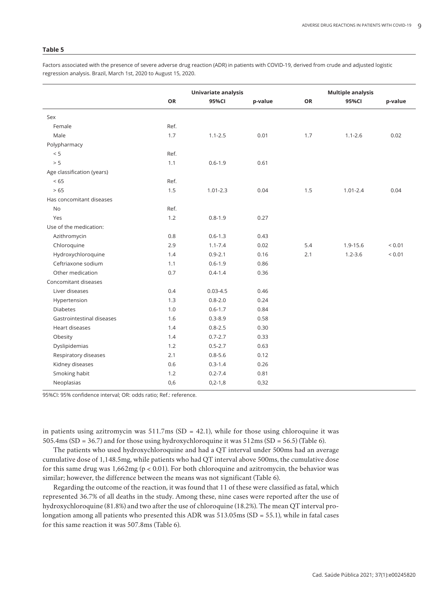Factors associated with the presence of severe adverse drug reaction (ADR) in patients with COVID-19, derived from crude and adjusted logistic regression analysis. Brazil, March 1st, 2020 to August 15, 2020.

|                            | Univariate analysis |               |         | <b>Multiple analysis</b> |              |             |  |
|----------------------------|---------------------|---------------|---------|--------------------------|--------------|-------------|--|
|                            | OR                  | 95%CI         | p-value | OR                       | 95%CI        | p-value     |  |
| Sex                        |                     |               |         |                          |              |             |  |
| Female                     | Ref.                |               |         |                          |              |             |  |
| Male                       | 1.7                 | $1.1 - 2.5$   | 0.01    | 1.7                      | $1.1 - 2.6$  | 0.02        |  |
| Polypharmacy               |                     |               |         |                          |              |             |  |
| < 5                        | Ref.                |               |         |                          |              |             |  |
| > 5                        | 1.1                 | $0.6 - 1.9$   | 0.61    |                          |              |             |  |
| Age classification (years) |                     |               |         |                          |              |             |  |
| < 65                       | Ref.                |               |         |                          |              |             |  |
| > 65                       | 1.5                 | $1.01 - 2.3$  | 0.04    | 1.5                      | $1.01 - 2.4$ | 0.04        |  |
| Has concomitant diseases   |                     |               |         |                          |              |             |  |
| <b>No</b>                  | Ref.                |               |         |                          |              |             |  |
| Yes                        | 1.2                 | $0.8 - 1.9$   | 0.27    |                          |              |             |  |
| Use of the medication:     |                     |               |         |                          |              |             |  |
| Azithromycin               | 0.8                 | $0.6 - 1.3$   | 0.43    |                          |              |             |  |
| Chloroquine                | 2.9                 | $1.1 - 7.4$   | 0.02    | 5.4                      | 1.9-15.6     | ${}_{0.01}$ |  |
| Hydroxychloroquine         | 1.4                 | $0.9 - 2.1$   | 0.16    | 2.1                      | $1.2 - 3.6$  | ${}_{0.01}$ |  |
| Ceftriaxone sodium         | 1.1                 | $0.6 - 1.9$   | 0.86    |                          |              |             |  |
| Other medication           | 0.7                 | $0.4 - 1.4$   | 0.36    |                          |              |             |  |
| Concomitant diseases       |                     |               |         |                          |              |             |  |
| Liver diseases             | 0.4                 | $0.03 - 4.5$  | 0.46    |                          |              |             |  |
| Hypertension               | 1.3                 | $0.8 - 2.0$   | 0.24    |                          |              |             |  |
| <b>Diabetes</b>            | 1.0                 | $0.6 - 1.7$   | 0.84    |                          |              |             |  |
| Gastrointestinal diseases  | 1.6                 | $0.3 - 8.9$   | 0.58    |                          |              |             |  |
| Heart diseases             | 1.4                 | $0.8 - 2.5$   | 0.30    |                          |              |             |  |
| Obesity                    | 1.4                 | $0.7 - 2.7$   | 0.33    |                          |              |             |  |
| Dyslipidemias              | 1.2                 | $0.5 - 2.7$   | 0.63    |                          |              |             |  |
| Respiratory diseases       | 2.1                 | $0.8 - 5.6$   | 0.12    |                          |              |             |  |
| Kidney diseases            | 0.6                 | $0.3 - 1.4$   | 0.26    |                          |              |             |  |
| Smoking habit              | 1.2                 | $0.2 - 7.4$   | 0.81    |                          |              |             |  |
| Neoplasias                 | 0,6                 | $0, 2 - 1, 8$ | 0,32    |                          |              |             |  |
|                            |                     |               |         |                          |              |             |  |

95%CI: 95% confidence interval; OR: odds ratio; Ref.: reference.

in patients using azitromycin was  $511.7 \text{ms (SD = 42.1)}$ , while for those using chloroquine it was 505.4ms (SD = 36.7) and for those using hydroxychloroquine it was 512ms (SD = 56.5) (Table 6).

The patients who used hydroxychloroquine and had a QT interval under 500ms had an average cumulative dose of 1,148.5mg, while patients who had QT interval above 500ms, the cumulative dose for this same drug was 1,662mg (p < 0.01). For both chloroquine and azitromycin, the behavior was similar; however, the difference between the means was not significant (Table 6).

Regarding the outcome of the reaction, it was found that 11 of these were classified as fatal, which represented 36.7% of all deaths in the study. Among these, nine cases were reported after the use of hydroxychloroquine (81.8%) and two after the use of chloroquine (18.2%). The mean QT interval prolongation among all patients who presented this ADR was 513.05ms (SD = 55.1), while in fatal cases for this same reaction it was 507.8ms (Table 6).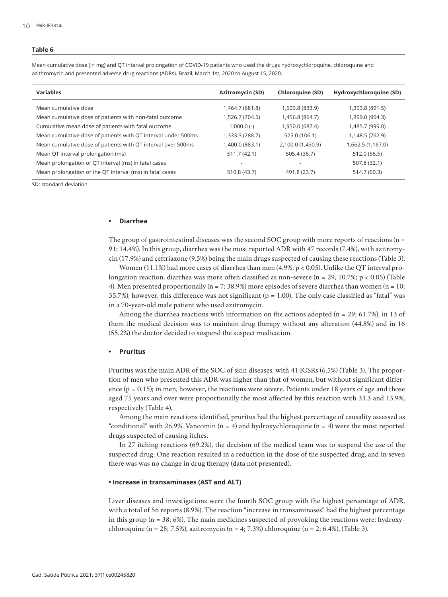Mean cumulative dose (in mg) and QT interval prolongation of COVID-19 patients who used the drugs hydroxychloroquine, chloroquine and azithromycin and presented adverse drug reactions (ADRs). Brazil, March 1st, 2020 to August 15, 2020.

| <b>Variables</b>                                              | <b>Azitromycin (SD)</b> | <b>Chloroquine (SD)</b> | Hydroxychloroquine (SD) |
|---------------------------------------------------------------|-------------------------|-------------------------|-------------------------|
| Mean cumulative dose                                          | 1,464.7 (681.8)         | 1,503.8 (833.9)         | 1,393.8 (891.5)         |
| Mean cumulative dose of patients with non-fatal outcome       | 1,526.7 (704.5)         | 1,456.8 (864.7)         | 1,399.0 (904.3)         |
| Cumulative mean dose of patients with fatal outcome           | $1,000.0$ (-)           | 1,950.0 (687.4)         | 1,485.7 (999.0)         |
| Mean cumulative dose of patients with QT interval under 500ms | 1,333.3 (288.7)         | 525.0 (106.1)           | 1,148.5 (762.9)         |
| Mean cumulative dose of patients with QT interval over 500ms  | (883.1) 400.0(883.1)    | 2,100.0 (1,430.9)       | 1,662.5 (1,167.0)       |
| Mean QT interval prolongation (ms)                            | 511.7 (42.1)            | 505.4 (36.7)            | 512.0 (56.5)            |
| Mean prolongation of QT interval (ms) in fatal cases          |                         |                         | 507.8 (32.1)            |
| Mean prolongation of the QT interval (ms) in fatal cases      | 510.8 (43.7)            | 491.8 (23.7)            | 514.7 (60.3)            |

SD: standard deviation.

#### **• Diarrhea**

The group of gastrointestinal diseases was the second SOC group with more reports of reactions  $(n = 1, n = 1)$ 91; 14.4%). In this group, diarrhea was the most reported ADR with 47 records (7.4%), with azitromycin (17.9%) and ceftriaxone (9.5%) being the main drugs suspected of causing these reactions (Table 3).

Women (11.1%) had more cases of diarrhea than men (4.9%; p < 0.05). Unlike the QT interval prolongation reaction, diarrhea was more often classified as non-severe (n = 29, 10.7%; p < 0.05) (Table 4). Men presented proportionally ( $n = 7$ ; 38.9%) more episodes of severe diarrhea than women ( $n = 10$ ; 35.7%), however, this difference was not significant ( $p = 1.00$ ). The only case classified as "fatal" was in a 70-year-old male patient who used azitromycin.

Among the diarrhea reactions with information on the actions adopted ( $n = 29$ ; 61.7%), in 13 of them the medical decision was to maintain drug therapy without any alteration (44.8%) and in 16 (55.2%) the doctor decided to suspend the suspect medication.

#### **• Pruritus**

Pruritus was the main ADR of the SOC of skin diseases, with 41 ICSRs (6.5%) (Table 3). The proportion of men who presented this ADR was higher than that of women, but without significant difference ( $p = 0.15$ ); in men, however, the reactions were severe. Patients under 18 years of age and those aged 75 years and over were proportionally the most affected by this reaction with 33.3 and 13.9%, respectively (Table 4).

Among the main reactions identified, pruritus had the highest percentage of causality assessed as "conditional" with 26.9%. Vancomin ( $n = 4$ ) and hydroxychloroquine ( $n = 4$ ) were the most reported drugs suspected of causing itches.

In 27 itching reactions (69.2%), the decision of the medical team was to suspend the use of the suspected drug. One reaction resulted in a reduction in the dose of the suspected drug, and in seven there was was no change in drug therapy (data not presented).

### **• Increase in transaminases (AST and ALT)**

Liver diseases and investigations were the fourth SOC group with the highest percentage of ADR, with a total of 56 reports (8.9%). The reaction "increase in transaminases" had the highest percentage in this group (n = 38; 6%). The main medicines suspected of provoking the reactions were: hydroxychloroquine (n = 28; 7.5%), azitromycin (n = 4; 7.3%) chloroquine (n = 2; 6.4%), (Table 3).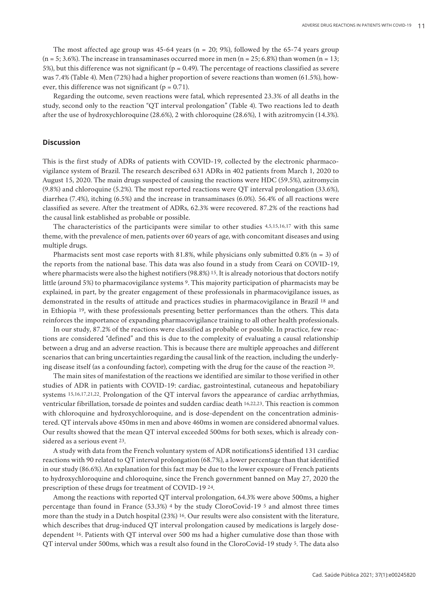The most affected age group was  $45{\text -}64$  years  $(n = 20; 9\%)$ , followed by the 65-74 years group  $(n = 5; 3.6\%)$ . The increase in transaminases occurred more in men  $(n = 25; 6.8\%)$  than women  $(n = 13;$ 5%), but this difference was not significant ( $p = 0.49$ ). The percentage of reactions classified as severe was 7.4% (Table 4). Men (72%) had a higher proportion of severe reactions than women (61.5%), however, this difference was not significant ( $p = 0.71$ ).

Regarding the outcome, seven reactions were fatal, which represented 23.3% of all deaths in the study, second only to the reaction "QT interval prolongation" (Table 4). Two reactions led to death after the use of hydroxychloroquine (28.6%), 2 with chloroquine (28.6%), 1 with azitromycin (14.3%).

### **Discussion**

This is the first study of ADRs of patients with COVID-19, collected by the electronic pharmacovigilance system of Brazil. The research described 631 ADRs in 402 patients from March 1, 2020 to August 15, 2020. The main drugs suspected of causing the reactions were HDC (59.5%), azitromycin (9.8%) and chloroquine (5.2%). The most reported reactions were QT interval prolongation (33.6%), diarrhea (7.4%), itching (6.5%) and the increase in transaminases (6.0%). 56.4% of all reactions were classified as severe. After the treatment of ADRs, 62.3% were recovered. 87.2% of the reactions had the causal link established as probable or possible.

The characteristics of the participants were similar to other studies 4,5,15,16,17 with this same theme, with the prevalence of men, patients over 60 years of age, with concomitant diseases and using multiple drugs.

Pharmacists sent most case reports with 81.8%, while physicians only submitted 0.8% ( $n = 3$ ) of the reports from the national base. This data was also found in a study from Ceará on COVID-19, where pharmacists were also the highest notifiers (98.8%) 15. It is already notorious that doctors notify little (around 5%) to pharmacovigilance systems 9. This majority participation of pharmacists may be explained, in part, by the greater engagement of these professionals in pharmacovigilance issues, as demonstrated in the results of attitude and practices studies in pharmacovigilance in Brazil 18 and in Ethiopia 19, with these professionals presenting better performances than the others. This data reinforces the importance of expanding pharmacovigilance training to all other health professionals.

In our study, 87.2% of the reactions were classified as probable or possible. In practice, few reactions are considered "defined" and this is due to the complexity of evaluating a causal relationship between a drug and an adverse reaction. This is because there are multiple approaches and different scenarios that can bring uncertainties regarding the causal link of the reaction, including the underlying disease itself (as a confounding factor), competing with the drug for the cause of the reaction 20.

The main sites of manifestation of the reactions we identified are similar to those verified in other studies of ADR in patients with COVID-19: cardiac, gastrointestinal, cutaneous and hepatobiliary systems 15,16,17,21,22. Prolongation of the QT interval favors the appearance of cardiac arrhythmias, ventricular fibrillation, torsade de pointes and sudden cardiac death 16,22,23. This reaction is common with chloroquine and hydroxychloroquine, and is dose-dependent on the concentration administered. QT intervals above 450ms in men and above 460ms in women are considered abnormal values. Our results showed that the mean QT interval exceeded 500ms for both sexes, which is already considered as a serious event 23.

A study with data from the French voluntary system of ADR notifications5 identified 131 cardiac reactions with 90 related to QT interval prolongation (68.7%), a lower percentage than that identified in our study (86.6%). An explanation for this fact may be due to the lower exposure of French patients to hydroxychloroquine and chloroquine, since the French government banned on May 27, 2020 the prescription of these drugs for treatment of COVID-19 24.

Among the reactions with reported QT interval prolongation, 64.3% were above 500ms, a higher percentage than found in France (53.3%) 4 by the study CloroCovid-19 5 and almost three times more than the study in a Dutch hospital (23%) 16. Our results were also consistent with the literature, which describes that drug-induced QT interval prolongation caused by medications is largely dosedependent 16. Patients with QT interval over 500 ms had a higher cumulative dose than those with QT interval under 500ms, which was a result also found in the CloroCovid-19 study 5. The data also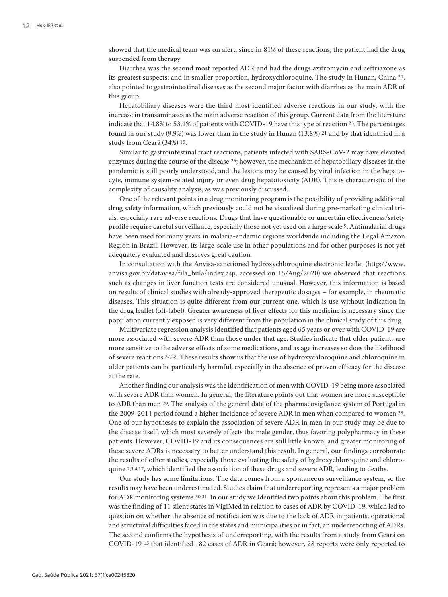showed that the medical team was on alert, since in 81% of these reactions, the patient had the drug suspended from therapy.

Diarrhea was the second most reported ADR and had the drugs azitromycin and ceftriaxone as its greatest suspects; and in smaller proportion, hydroxychloroquine. The study in Hunan, China 21, also pointed to gastrointestinal diseases as the second major factor with diarrhea as the main ADR of this group.

Hepatobiliary diseases were the third most identified adverse reactions in our study, with the increase in transaminases as the main adverse reaction of this group. Current data from the literature indicate that 14.8% to 53.1% of patients with COVID-19 have this type of reaction 25. The percentages found in our study (9.9%) was lower than in the study in Hunan (13.8%) 21 and by that identified in a study from Ceará (34%) 15.

Similar to gastrointestinal tract reactions, patients infected with SARS-CoV-2 may have elevated enzymes during the course of the disease 26; however, the mechanism of hepatobiliary diseases in the pandemic is still poorly understood, and the lesions may be caused by viral infection in the hepatocyte, immune system-related injury or even drug hepatotoxicity (ADR). This is characteristic of the complexity of causality analysis, as was previously discussed.

One of the relevant points in a drug monitoring program is the possibility of providing additional drug safety information, which previously could not be visualized during pre-marketing clinical trials, especially rare adverse reactions. Drugs that have questionable or uncertain effectiveness/safety profile require careful surveillance, especially those not yet used on a large scale 9. Antimalarial drugs have been used for many years in malaria-endemic regions worldwide including the Legal Amazon Region in Brazil. However, its large-scale use in other populations and for other purposes is not yet adequately evaluated and deserves great caution.

In consultation with the Anvisa-sanctioned hydroxychloroquine electronic leaflet (http://www. anvisa.gov.br/datavisa/fila\_bula/index.asp, accessed on 15/Aug/2020) we observed that reactions such as changes in liver function tests are considered unusual. However, this information is based on results of clinical studies with already-approved therapeutic dosages – for example, in rheumatic diseases. This situation is quite different from our current one, which is use without indication in the drug leaflet (off-label). Greater awareness of liver effects for this medicine is necessary since the population currently exposed is very different from the population in the clinical study of this drug.

Multivariate regression analysis identified that patients aged 65 years or over with COVID-19 are more associated with severe ADR than those under that age. Studies indicate that older patients are more sensitive to the adverse effects of some medications, and as age increases so does the likelihood of severe reactions 27,28. These results show us that the use of hydroxychloroquine and chloroquine in older patients can be particularly harmful, especially in the absence of proven efficacy for the disease at the rate.

Another finding our analysis was the identification of men with COVID-19 being more associated with severe ADR than women. In general, the literature points out that women are more susceptible to ADR than men 29. The analysis of the general data of the pharmacovigilance system of Portugal in the 2009-2011 period found a higher incidence of severe ADR in men when compared to women 28. One of our hypotheses to explain the association of severe ADR in men in our study may be due to the disease itself, which most severely affects the male gender, thus favoring polypharmacy in these patients. However, COVID-19 and its consequences are still little known, and greater monitoring of these severe ADRs is necessary to better understand this result. In general, our findings corroborate the results of other studies, especially those evaluating the safety of hydroxychloroquine and chloroquine 2,3,4,17, which identified the association of these drugs and severe ADR, leading to deaths.

Our study has some limitations. The data comes from a spontaneous surveillance system, so the results may have been underestimated. Studies claim that underreporting represents a major problem for ADR monitoring systems 30,31. In our study we identified two points about this problem. The first was the finding of 11 silent states in VigiMed in relation to cases of ADR by COVID-19, which led to question on whether the absence of notification was due to the lack of ADR in patients, operational and structural difficulties faced in the states and municipalities or in fact, an underreporting of ADRs. The second confirms the hypothesis of underreporting, with the results from a study from Ceará on COVID-19 15 that identified 182 cases of ADR in Ceará; however, 28 reports were only reported to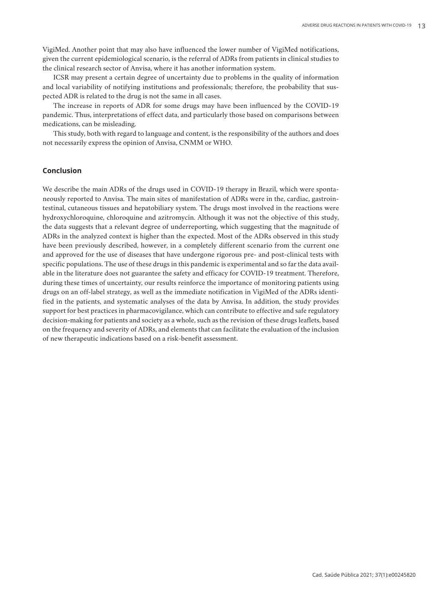VigiMed. Another point that may also have influenced the lower number of VigiMed notifications, given the current epidemiological scenario, is the referral of ADRs from patients in clinical studies to the clinical research sector of Anvisa, where it has another information system.

ICSR may present a certain degree of uncertainty due to problems in the quality of information and local variability of notifying institutions and professionals; therefore, the probability that suspected ADR is related to the drug is not the same in all cases.

The increase in reports of ADR for some drugs may have been influenced by the COVID-19 pandemic. Thus, interpretations of effect data, and particularly those based on comparisons between medications, can be misleading.

This study, both with regard to language and content, is the responsibility of the authors and does not necessarily express the opinion of Anvisa, CNMM or WHO.

# **Conclusion**

We describe the main ADRs of the drugs used in COVID-19 therapy in Brazil, which were spontaneously reported to Anvisa. The main sites of manifestation of ADRs were in the, cardiac, gastrointestinal, cutaneous tissues and hepatobiliary system. The drugs most involved in the reactions were hydroxychloroquine, chloroquine and azitromycin. Although it was not the objective of this study, the data suggests that a relevant degree of underreporting, which suggesting that the magnitude of ADRs in the analyzed context is higher than the expected. Most of the ADRs observed in this study have been previously described, however, in a completely different scenario from the current one and approved for the use of diseases that have undergone rigorous pre- and post-clinical tests with specific populations. The use of these drugs in this pandemic is experimental and so far the data available in the literature does not guarantee the safety and efficacy for COVID-19 treatment. Therefore, during these times of uncertainty, our results reinforce the importance of monitoring patients using drugs on an off-label strategy, as well as the immediate notification in VigiMed of the ADRs identified in the patients, and systematic analyses of the data by Anvisa. In addition, the study provides support for best practices in pharmacovigilance, which can contribute to effective and safe regulatory decision-making for patients and society as a whole, such as the revision of these drugs leaflets, based on the frequency and severity of ADRs, and elements that can facilitate the evaluation of the inclusion of new therapeutic indications based on a risk-benefit assessment.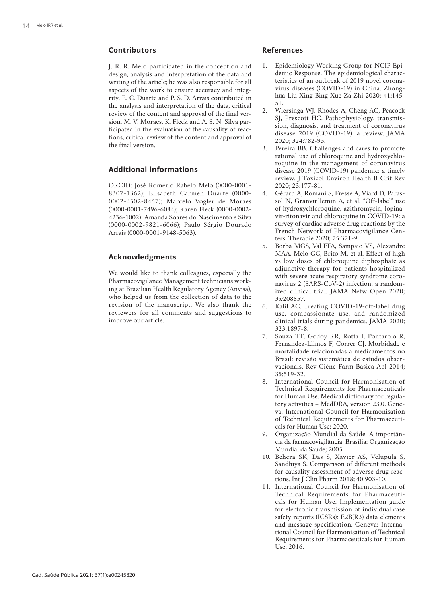# **Contributors**

J. R. R. Melo participated in the conception and design, analysis and interpretation of the data and writing of the article; he was also responsible for all aspects of the work to ensure accuracy and integ rity. E. C. Duarte and P. S. D. Arrais contributed in the analysis and interpretation of the data, critical review of the content and approval of the final ver sion. M. V. Moraes, K. Fleck and A. S. N. Silva par ticipated in the evaluation of the causality of reac tions, critical review of the content and approval of the final version.

# **Additional informations**

ORCID: José Romério Rabelo Melo (0000-0001- 8307-1362); Elisabeth Carmen Duarte (0000- 0002-4502-8467); Marcelo Vogler de Moraes (0000-0001-7496-6084); Karen Fleck (0000-0002- 4236-1002); Amanda Soares do Nascimento e Silva (0000-0002-9821-6066); Paulo Sérgio Dourado Arrais (0000-0001-9148-5063).

### **Acknowledgments**

We would like to thank colleagues, especially the Pharmacovigilance Management technicians work ing at Brazilian Health Regulatory Agency (Anvisa), who helped us from the collection of data to the revision of the manuscript. We also thank the reviewers for all comments and suggestions to improve our article.

### **References**

- 1. Epidemiology Working Group for NCIP Epi demic Response. The epidemiological charac teristics of an outbreak of 2019 novel corona virus diseases (COVID-19) in China. Zhong hua Liu Xing Bing Xue Za Zhi 2020; 41:145- 51.
- 2. Wiersinga WJ, Rhodes A, Cheng AC, Peacock SJ, Prescott HC. Pathophysiology, transmis sion, diagnosis, and treatment of coronavirus disease 2019 (COVID-19): a review. JAMA 2020; 324:782-93.
- 3. Pereira BB. Challenges and cares to promote rational use of chloroquine and hydroxychlo roquine in the management of coronavirus disease 2019 (COVID-19) pandemic: a timely review. J Toxicol Environ Health B Crit Rev 2020; 23:177-81.
- 4. Gérard A, Romani S, Fresse A, Viard D, Paras sol N, Granvuillemin A, et al. "Off-label" use of hydroxychloroquine, azithromycin, lopina vir-ritonavir and chloroquine in COVID-19: a survey of cardiac adverse drug reactions by the French Network of Pharmacovigilance Cen ters. Therapie 2020; 75:371-9.
- 5. Borba MGS, Val FFA, Sampaio VS, Alexandre MAA, Melo GC, Brito M, et al. Effect of high vs low doses of chloroquine diphosphate as adjunctive therapy for patients hospitalized with severe acute respiratory syndrome coro navirus 2 (SARS-CoV-2) infection: a random ized clinical trial. JAMA Netw Open 2020; 3:e208857.
- 6. Kalil AC. Treating COVID-19-off-label drug use, compassionate use, and randomized clinical trials during pandemics. JAMA 2020; 323:1897-8.
- 7. Souza TT, Godoy RR, Rotta I, Pontarolo R, Fernandez-Llimos F, Correr CJ. Morbidade e mortalidade relacionadas a medicamentos no Brasil: revisão sistemática de estudos obser vacionais. Rev Ciênc Farm Básica Apl 2014; 35:519-32.
- 8. International Council for Harmonisation of Technical Requirements for Pharmaceuticals for Human Use. Medical dictionary for regula tory activities - MedDRA, version 23.0. Geneva: International Council for Harmonisation of Technical Requirements for Pharmaceuti cals for Human Use; 2020.
- 9. Organização Mundial da Saúde. A importân cia da farmacovigilância. Brasília: Organização Mundial da Saúde; 2005.
- 10. Behera SK, Das S, Xavier AS, Velupula S, Sandhiya S. Comparison of different methods for causality assessment of adverse drug reac tions. Int J Clin Pharm 2018; 40:903-10.
- 11. International Council for Harmonisation of Technical Requirements for Pharmaceuti cals for Human Use. Implementation guide for electronic transmission of individual case safety reports (ICSRs): E2B(R3) data elements and message specification. Geneva: Interna tional Council for Harmonisation of Technical Requirements for Pharmaceuticals for Human Use; 2016.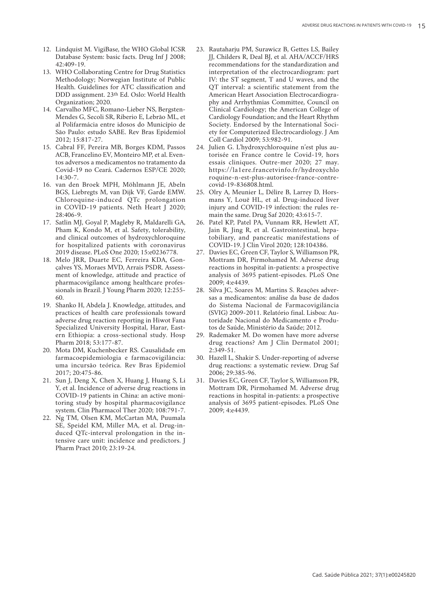- 12. Lindquist M. VigiBase, the WHO Global ICSR Database System: basic facts. Drug Inf J 2008; 42:409-19.
- 13. WHO Collaborating Centre for Drug Statistics Methodology; Norwegian Institute of Public Health. Guidelines for ATC classification and DDD assignment. 23th Ed. Oslo: World Health Organization; 2020.
- 14. Carvalho MFC, Romano-Lieber NS, Bergsten-Mendes G, Secoli SR, Riberio E, Lebrão ML, et al Polifarmácia entre idosos do Município de São Paulo: estudo SABE. Rev Bras Epidemiol 2012; 15:817-27.
- 15. Cabral FF, Pereira MB, Borges KDM, Passos ACB, Francelino EV, Monteiro MP, et al. Even tos adversos a medicamentos no tratamento da Covid-19 no Ceará. Cadernos ESP/CE 2020;  $14.30 - 7$
- 16. van den Broek MPH, Möhlmann JE, Abeln BGS, Liebregts M, van Dijk VF, Garde EMW. Chloroquine-induced QTc prolongation in COVID-19 patients. Neth Heart J 2020; 28:406-9.
- 17. Satlin MJ, Goyal P, Magleby R, Maldarelli GA, Pham K, Kondo M, et al. Safety, tolerability, and clinical outcomes of hydroxychloroquine for hospitalized patients with coronavirus 2019 disease. PLoS One 2020; 15:e0236778.
- 18. Melo JRR, Duarte EC, Ferreira KDA, Gon çalves YS, Moraes MVD, Arrais PSDR. Assess ment of knowledge, attitude and practice of pharmacovigilance among healthcare profes sionals in Brazil. J Young Pharm 2020; 12:255- 60.
- 19. Shanko H, Abdela J. Knowledge, attitudes, and practices of health care professionals toward adverse drug reaction reporting in Hiwot Fana Specialized University Hospital, Harar, East ern Ethiopia: a cross-sectional study. Hosp Pharm 2018; 53:177-87.
- 20. Mota DM, Kuchenbecker RS. Causalidade em farmacoepidemiologia e farmacovigilância: uma incursão teórica. Rev Bras Epidemiol 2017; 20:475-86.
- 21. Sun J, Deng X, Chen X, Huang J, Huang S, Li Y, et al. Incidence of adverse drug reactions in COVID-19 patients in China: an active moni toring study by hospital pharmacovigilance system. Clin Pharmacol Ther 2020; 108:791-7.
- 22. Ng TM, Olsen KM, McCartan MA, Puumala SE, Speidel KM, Miller MA, et al. Drug-in duced QTc-interval prolongation in the in tensive care unit: incidence and predictors. J Pharm Pract 2010; 23:19-24.
- 23. Rautaharju PM, Surawicz B, Gettes LS, Bailey JJ, Childers R, Deal BJ, et al. AHA/ACCF/HRS recommendations for the standardization and interpretation of the electrocardiogram: part IV: the ST segment, T and U waves, and the QT interval: a scientific statement from the American Heart Association Electrocardiogra phy and Arrhythmias Committee, Council on Clinical Cardiology; the American College of Cardiology Foundation; and the Heart Rhythm Society. Endorsed by the International Soci ety for Computerized Electrocardiology. J Am Coll Cardiol 2009; 53:982-91.
- 24. Julien G. L'hydroxychloroquine n'est plus au torisée en France contre le Covid-19, hors essais cliniques. Outre-mer 2020; 27 may. https://la1ere.francetvinfo.fr/hydroxychlo roquine-n-est-plus-autorisee-france-contrecovid-19-836808.html.
- 25. Olry A, Meunier L, Délire B, Larrey D, Hors mans Y, Louë HL, et al. Drug-induced liver injury and COVID-19 infection: the rules re main the same. Drug Saf 2020; 43:615-7.
- 26. Patel KP, Patel PA, Vunnam RR, Hewlett AT, Jain R, Jing R, et al. Gastrointestinal, hepa tobiliary, and pancreatic manifestations of COVID-19. J Clin Virol 2020; 128:104386.
- 27. Davies EC, Green CF, Taylor S, Williamson PR, Mottram DR, Pirmohamed M. Adverse drug reactions in hospital in-patients: a prospective analysis of 3695 patient-episodes. PLoS One 2009; 4:e4439.
- 28. Silva JC, Soares M, Martins S. Reações adver sas a medicamentos: análise da base de dados do Sistema Nacional de Farmacovigilância (SVIG) 2009-2011. Relatório final. Lisboa: Au toridade Nacional do Medicamento e Produ tos de Saúde, Ministério da Saúde; 2012.
- 29. Rademaker M. Do women have more adverse drug reactions? Am J Clin Dermatol 2001; 2:349-51.
- 30. Hazell L, Shakir S. Under-reporting of adverse drug reactions: a systematic review. Drug Saf 2006; 29:385-96.
- 31. Davies EC, Green CF, Taylor S, Williamson PR, Mottram DR, Pirmohamed M. Adverse drug reactions in hospital in-patients: a prospective analysis of 3695 patient-episodes. PLoS One 2009; 4:e4439.